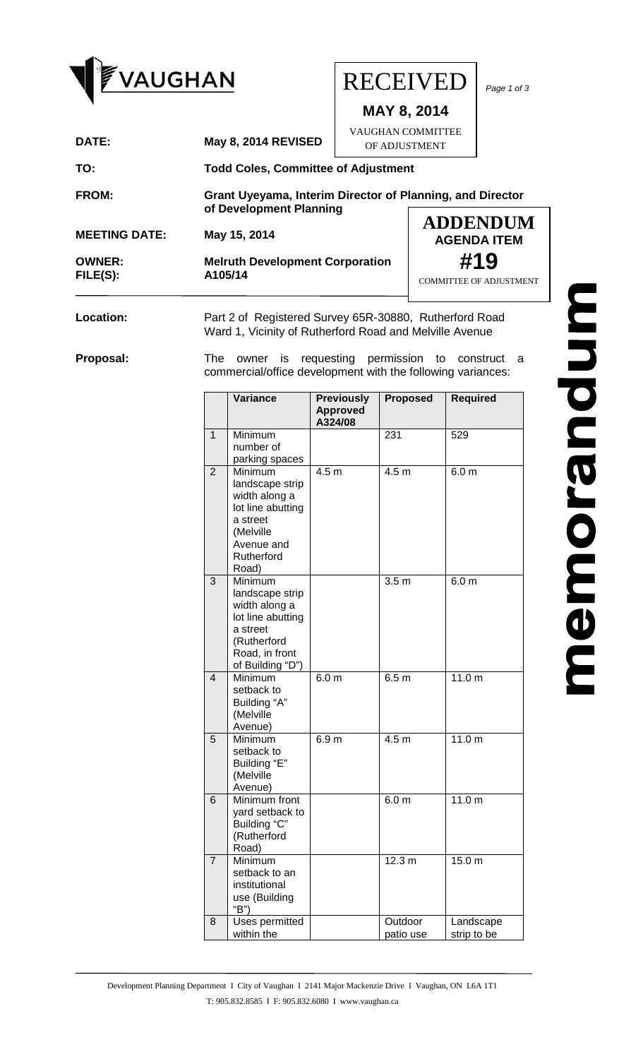

**Location:** Part 2 of Registered Survey 65R-30880, Rutherford Road Ward 1, Vicinity of Rutherford Road and Melville Avenue

**Proposal:** The owner is requesting permission to construct a commercial/office development with the following variances:

|                | <b>Variance</b>                                                                                                                   | <b>Previously</b>          | <b>Proposed</b>      | <b>Required</b>          |
|----------------|-----------------------------------------------------------------------------------------------------------------------------------|----------------------------|----------------------|--------------------------|
|                |                                                                                                                                   | <b>Approved</b><br>A324/08 |                      |                          |
| 1              | Minimum<br>number of<br>parking spaces                                                                                            |                            | 231                  | 529                      |
| $\overline{2}$ | Minimum<br>landscape strip<br>width along a<br>lot line abutting<br>a street<br>(Melville<br>Avenue and<br>Rutherford<br>Road)    | 4.5 <sub>m</sub>           | 4.5 <sub>m</sub>     | 6.0 <sub>m</sub>         |
| 3              | Minimum<br>landscape strip<br>width along a<br>lot line abutting<br>a street<br>(Rutherford<br>Road, in front<br>of Building "D") |                            | 3.5 <sub>m</sub>     | 6.0 <sub>m</sub>         |
| 4              | Minimum<br>setback to<br>Building "A"<br>(Melville<br>Avenue)                                                                     | 6.0 <sub>m</sub>           | 6.5 <sub>m</sub>     | 11.0 <sub>m</sub>        |
| 5              | Minimum<br>setback to<br>Building "E"<br>(Melville<br>Avenue)                                                                     | 6.9 <sub>m</sub>           | 4.5 m                | 11.0 <sub>m</sub>        |
| 6              | Minimum front<br>yard setback to<br>Building "C"<br>(Rutherford<br>Road)                                                          |                            | 6.0 <sub>m</sub>     | 11.0 <sub>m</sub>        |
| $\overline{7}$ | Minimum<br>setback to an<br>institutional<br>use (Building<br>"B")                                                                |                            | 12.3 m               | 15.0 m                   |
| 8              | Uses permitted<br>within the                                                                                                      |                            | Outdoor<br>patio use | Landscape<br>strip to be |

memorandum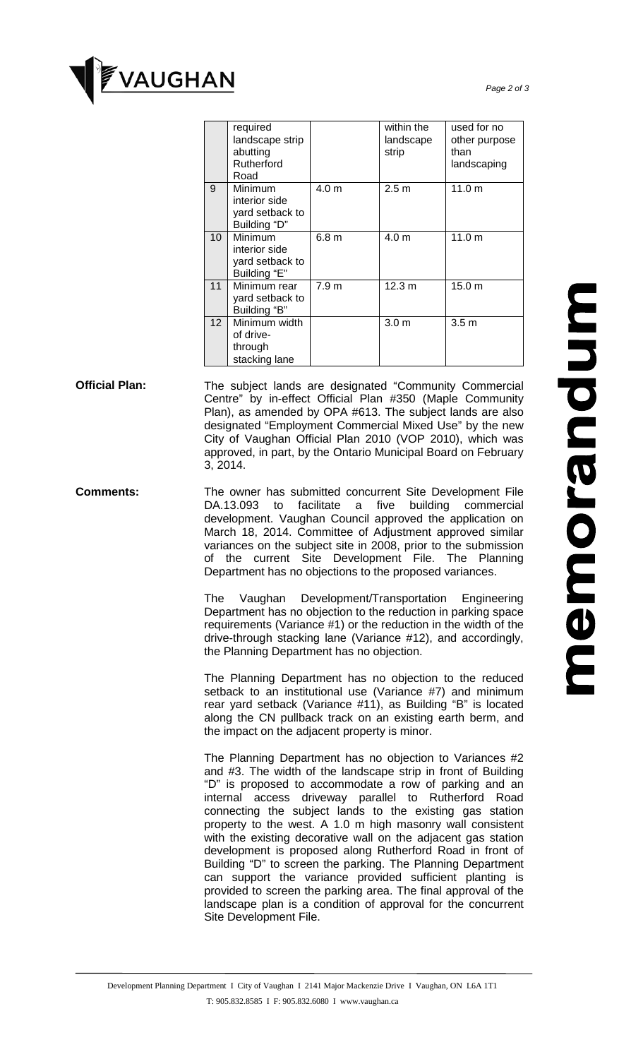

|                 | required<br>landscape strip<br>abutting<br>Rutherford<br>Road |                  | within the<br>landscape<br>strip | used for no<br>other purpose<br>than<br>landscaping |
|-----------------|---------------------------------------------------------------|------------------|----------------------------------|-----------------------------------------------------|
| $\overline{9}$  | Minimum<br>interior side<br>yard setback to<br>Building "D"   | 4.0 m            | 2.5 <sub>m</sub>                 | 11.0 m                                              |
| 10              | Minimum<br>interior side<br>yard setback to<br>Building "E"   | 6.8 <sub>m</sub> | 4.0 <sub>m</sub>                 | 11.0 m                                              |
| $\overline{11}$ | Minimum rear<br>yard setback to<br>Building "B"               | 7.9 <sub>m</sub> | 12.3 m                           | 15.0 m                                              |
| 12              | Minimum width<br>of drive-<br>through<br>stacking lane        |                  | 3.0 <sub>m</sub>                 | 3.5 <sub>m</sub>                                    |

- **Official Plan:** The subject lands are designated "Community Commercial Centre" by in-effect Official Plan #350 (Maple Community Plan), as amended by OPA #613. The subject lands are also designated "Employment Commercial Mixed Use" by the new City of Vaughan Official Plan 2010 (VOP 2010), which was approved, in part, by the Ontario Municipal Board on February 3, 2014.
- **Comments:** The owner has submitted concurrent Site Development File DA.13.093 to facilitate a five building commercial development. Vaughan Council approved the application on March 18, 2014. Committee of Adjustment approved similar variances on the subject site in 2008, prior to the submission of the current Site Development File. The Planning Department has no objections to the proposed variances.

The Vaughan Development/Transportation Engineering Department has no objection to the reduction in parking space requirements (Variance #1) or the reduction in the width of the drive-through stacking lane (Variance #12), and accordingly, the Planning Department has no objection.

The Planning Department has no objection to the reduced setback to an institutional use (Variance #7) and minimum rear yard setback (Variance #11), as Building "B" is located along the CN pullback track on an existing earth berm, and the impact on the adjacent property is minor.

The Planning Department has no objection to Variances #2 and #3. The width of the landscape strip in front of Building "D" is proposed to accommodate a row of parking and an internal access driveway parallel to Rutherford Road connecting the subject lands to the existing gas station property to the west. A 1.0 m high masonry wall consistent with the existing decorative wall on the adjacent gas station development is proposed along Rutherford Road in front of Building "D" to screen the parking. The Planning Department can support the variance provided sufficient planting is provided to screen the parking area. The final approval of the landscape plan is a condition of approval for the concurrent Site Development File.

## memorandum